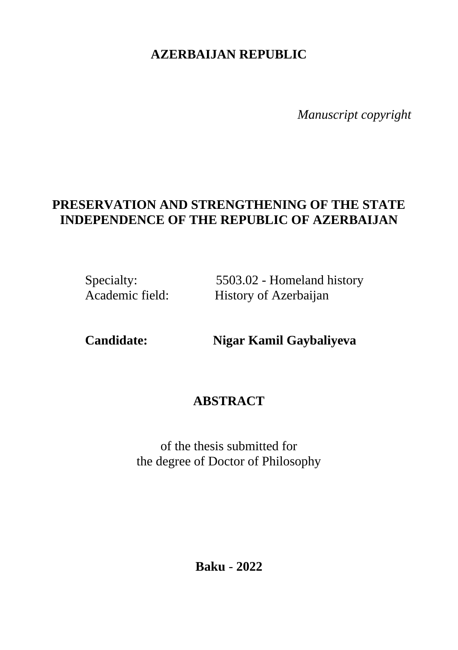# **AZERBAIJAN REPUBLIC**

*Manuscript copyright*

## **PRESERVATION AND STRENGTHENING OF THE STATE INDEPENDENCE OF THE REPUBLIC OF AZERBAIJAN**

Specialty: 5503.02 - Homeland history<br>Academic field: History of Azerbaiian History of Azerbaijan

**Candidate: Nigar Kamil Gaybaliyeva**

### **ABSTRACT**

of the thesis submitted for the degree of Doctor of Philosophy

**Baku** - **2022**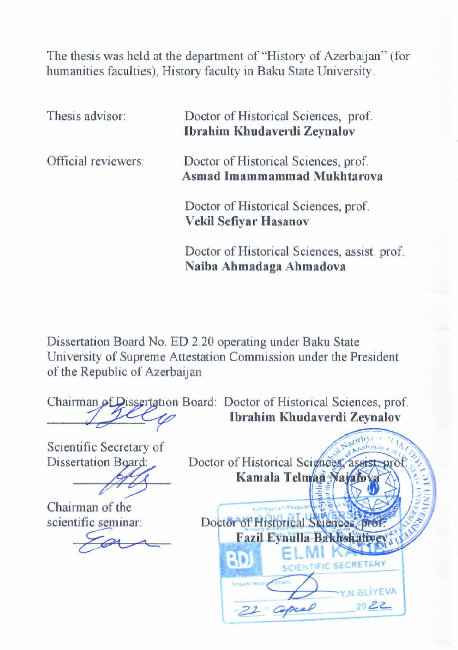The thesis was held at the department of "History of Azerbaijan" (for humanities faculties), History faculty in Baku State University.

Thesis advisor: Doctor of Historical Sciences, prof. **Ibrahim Khudaverdi Zeynalov**  Official reviewers: Doctor of Historical Sciences, prof.  **Asmad Imammammad Mukhtarova** Doctor of Historical Sciences, prof. **Vekil Sefiyar Hasanov** Doctor of Historical Sciences, assist. prof.

Dissertation Board No. ED 2.20 operating under Baku State University of Supreme Attestation Commission under the President of the Republic of Azerbaijan

**Naiba Ahmadaga Ahmadova**

Chairman of Dissertation Board: Doctor of Historical Sciences, prof. \_\_\_\_\_\_\_\_\_\_\_\_\_\_\_ **Ibrahim Khudaverdi Zeynalov** Scientific Secretary of Dissertation Board: Doctor of Historical Sciences, assist \_\_\_\_\_\_\_\_\_\_\_\_\_\_\_ **Kamala Telman Najafova** Chairman of the scientific seminar: Doctor of Historical Sciences, prof. **Fazil Eynulla Bakhshal** 30 **ALIYEVA**  $2022$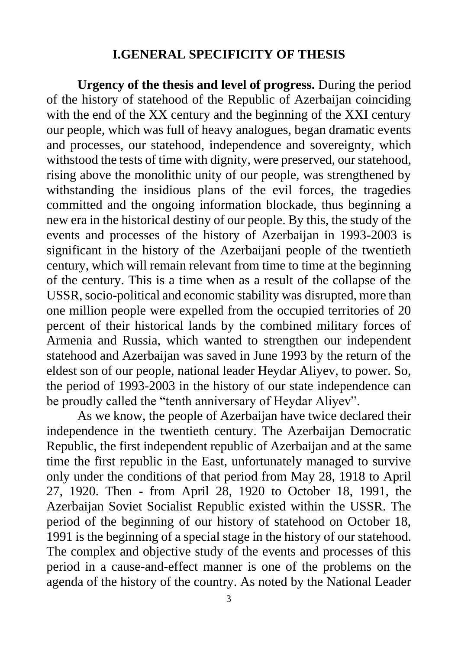#### **I.GENERAL SPECIFICITY OF THESIS**

**Urgency of the thesis and level of progress.** During the period of the history of statehood of the Republic of Azerbaijan coinciding with the end of the XX century and the beginning of the XXI century our people, which was full of heavy analogues, began dramatic events and processes, our statehood, independence and sovereignty, which withstood the tests of time with dignity, were preserved, our statehood, rising above the monolithic unity of our people, was strengthened by withstanding the insidious plans of the evil forces, the tragedies committed and the ongoing information blockade, thus beginning a new era in the historical destiny of our people. By this, the study of the events and processes of the history of Azerbaijan in 1993-2003 is significant in the history of the Azerbaijani people of the twentieth century, which will remain relevant from time to time at the beginning of the century. This is a time when as a result of the collapse of the USSR, socio-political and economic stability was disrupted, more than one million people were expelled from the occupied territories of 20 percent of their historical lands by the combined military forces of Armenia and Russia, which wanted to strengthen our independent statehood and Azerbaijan was saved in June 1993 by the return of the eldest son of our people, national leader Heydar Aliyev, to power. So, the period of 1993-2003 in the history of our state independence can be proudly called the "tenth anniversary of Heydar Aliyev".

As we know, the people of Azerbaijan have twice declared their independence in the twentieth century. The Azerbaijan Democratic Republic, the first independent republic of Azerbaijan and at the same time the first republic in the East, unfortunately managed to survive only under the conditions of that period from May 28, 1918 to April 27, 1920. Then - from April 28, 1920 to October 18, 1991, the Azerbaijan Soviet Socialist Republic existed within the USSR. The period of the beginning of our history of statehood on October 18, 1991 is the beginning of a special stage in the history of our statehood. The complex and objective study of the events and processes of this period in a cause-and-effect manner is one of the problems on the agenda of the history of the country. As noted by the National Leader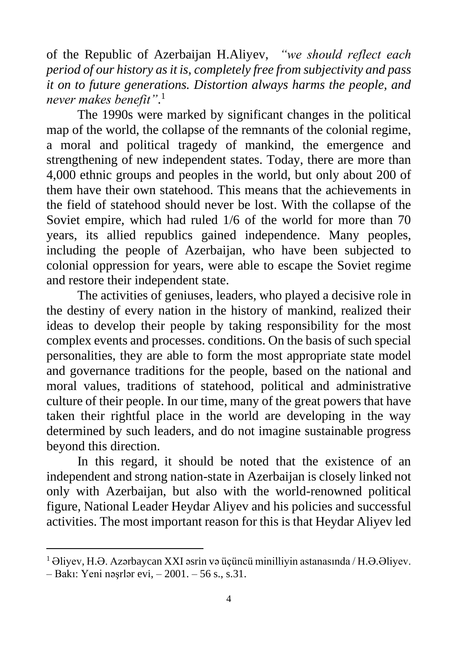of the Republic of Azerbaijan H.Aliyev, *"we should reflect each period of our history as it is, completely free from subjectivity and pass it on to future generations. Distortion always harms the people, and never makes benefit"*. 1

The 1990s were marked by significant changes in the political map of the world, the collapse of the remnants of the colonial regime, a moral and political tragedy of mankind, the emergence and strengthening of new independent states. Today, there are more than 4,000 ethnic groups and peoples in the world, but only about 200 of them have their own statehood. This means that the achievements in the field of statehood should never be lost. With the collapse of the Soviet empire, which had ruled 1/6 of the world for more than 70 years, its allied republics gained independence. Many peoples, including the people of Azerbaijan, who have been subjected to colonial oppression for years, were able to escape the Soviet regime and restore their independent state.

The activities of geniuses, leaders, who played a decisive role in the destiny of every nation in the history of mankind, realized their ideas to develop their people by taking responsibility for the most complex events and processes. conditions. On the basis of such special personalities, they are able to form the most appropriate state model and governance traditions for the people, based on the national and moral values, traditions of statehood, political and administrative culture of their people. In our time, many of the great powers that have taken their rightful place in the world are developing in the way determined by such leaders, and do not imagine sustainable progress beyond this direction.

In this regard, it should be noted that the existence of an independent and strong nation-state in Azerbaijan is closely linked not only with Azerbaijan, but also with the world-renowned political figure, National Leader Heydar Aliyev and his policies and successful activities. The most important reason for this is that Heydar Aliyev led

<sup>1</sup> Əliyev, H.Ə. Azərbaycan XXI əsrin və üçüncü minilliyin astanasında / H.Ə.Əliyev.

<sup>–</sup> Bakı: Yeni nəşrlər evi, – 2001. – 56 s., s.31.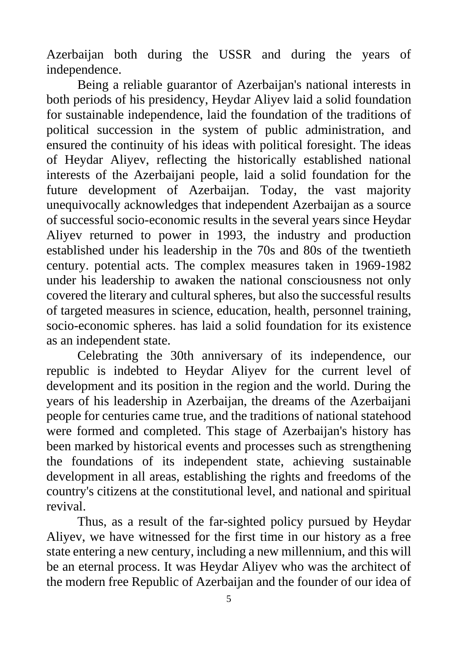Azerbaijan both during the USSR and during the years of independence.

Being a reliable guarantor of Azerbaijan's national interests in both periods of his presidency, Heydar Aliyev laid a solid foundation for sustainable independence, laid the foundation of the traditions of political succession in the system of public administration, and ensured the continuity of his ideas with political foresight. The ideas of Heydar Aliyev, reflecting the historically established national interests of the Azerbaijani people, laid a solid foundation for the future development of Azerbaijan. Today, the vast majority unequivocally acknowledges that independent Azerbaijan as a source of successful socio-economic results in the several years since Heydar Aliyev returned to power in 1993, the industry and production established under his leadership in the 70s and 80s of the twentieth century. potential acts. The complex measures taken in 1969-1982 under his leadership to awaken the national consciousness not only covered the literary and cultural spheres, but also the successful results of targeted measures in science, education, health, personnel training, socio-economic spheres. has laid a solid foundation for its existence as an independent state.

Celebrating the 30th anniversary of its independence, our republic is indebted to Heydar Aliyev for the current level of development and its position in the region and the world. During the years of his leadership in Azerbaijan, the dreams of the Azerbaijani people for centuries came true, and the traditions of national statehood were formed and completed. This stage of Azerbaijan's history has been marked by historical events and processes such as strengthening the foundations of its independent state, achieving sustainable development in all areas, establishing the rights and freedoms of the country's citizens at the constitutional level, and national and spiritual revival.

Thus, as a result of the far-sighted policy pursued by Heydar Aliyev, we have witnessed for the first time in our history as a free state entering a new century, including a new millennium, and this will be an eternal process. It was Heydar Aliyev who was the architect of the modern free Republic of Azerbaijan and the founder of our idea of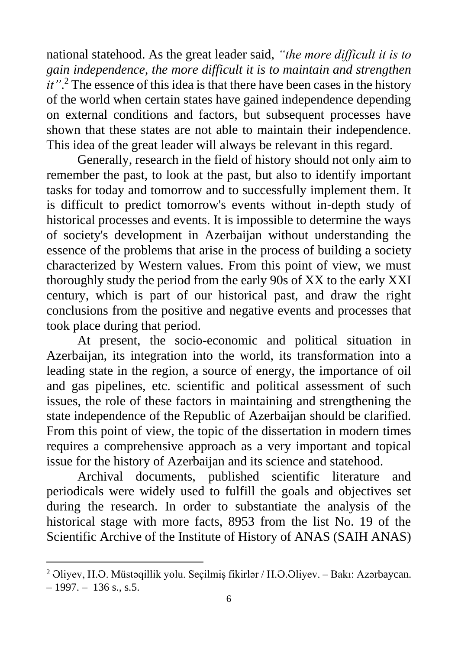national statehood. As the great leader said, *"the more difficult it is to gain independence, the more difficult it is to maintain and strengthen it*".<sup>2</sup> The essence of this idea is that there have been cases in the history of the world when certain states have gained independence depending on external conditions and factors, but subsequent processes have shown that these states are not able to maintain their independence. This idea of the great leader will always be relevant in this regard.

Generally, research in the field of history should not only aim to remember the past, to look at the past, but also to identify important tasks for today and tomorrow and to successfully implement them. It is difficult to predict tomorrow's events without in-depth study of historical processes and events. It is impossible to determine the ways of society's development in Azerbaijan without understanding the essence of the problems that arise in the process of building a society characterized by Western values. From this point of view, we must thoroughly study the period from the early 90s of XX to the early XXI century, which is part of our historical past, and draw the right conclusions from the positive and negative events and processes that took place during that period.

At present, the socio-economic and political situation in Azerbaijan, its integration into the world, its transformation into a leading state in the region, a source of energy, the importance of oil and gas pipelines, etc. scientific and political assessment of such issues, the role of these factors in maintaining and strengthening the state independence of the Republic of Azerbaijan should be clarified. From this point of view, the topic of the dissertation in modern times requires a comprehensive approach as a very important and topical issue for the history of Azerbaijan and its science and statehood.

Archival documents, published scientific literature and periodicals were widely used to fulfill the goals and objectives set during the research. In order to substantiate the analysis of the historical stage with more facts, 8953 from the list No. 19 of the Scientific Archive of the Institute of History of ANAS (SAIH ANAS)

<sup>2</sup> Əliyev, H.Ə. Müstəqillik yolu. Seçilmiş fikirlər / H.Ə.Əliyev. – Bakı: Azərbaycan.  $-1997. - 136$  s., s.5.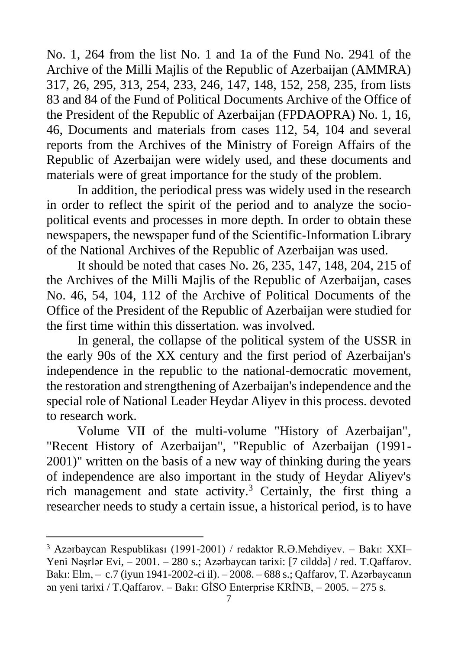No. 1, 264 from the list No. 1 and 1a of the Fund No. 2941 of the Archive of the Milli Majlis of the Republic of Azerbaijan (AMMRA) 317, 26, 295, 313, 254, 233, 246, 147, 148, 152, 258, 235, from lists 83 and 84 of the Fund of Political Documents Archive of the Office of the President of the Republic of Azerbaijan (FPDAOPRA) No. 1, 16, 46, Documents and materials from cases 112, 54, 104 and several reports from the Archives of the Ministry of Foreign Affairs of the Republic of Azerbaijan were widely used, and these documents and materials were of great importance for the study of the problem.

In addition, the periodical press was widely used in the research in order to reflect the spirit of the period and to analyze the sociopolitical events and processes in more depth. In order to obtain these newspapers, the newspaper fund of the Scientific-Information Library of the National Archives of the Republic of Azerbaijan was used.

It should be noted that cases No. 26, 235, 147, 148, 204, 215 of the Archives of the Milli Majlis of the Republic of Azerbaijan, cases No. 46, 54, 104, 112 of the Archive of Political Documents of the Office of the President of the Republic of Azerbaijan were studied for the first time within this dissertation. was involved.

In general, the collapse of the political system of the USSR in the early 90s of the XX century and the first period of Azerbaijan's independence in the republic to the national-democratic movement, the restoration and strengthening of Azerbaijan's independence and the special role of National Leader Heydar Aliyev in this process. devoted to research work.

Volume VII of the multi-volume "History of Azerbaijan", "Recent History of Azerbaijan", "Republic of Azerbaijan (1991- 2001)" written on the basis of a new way of thinking during the years of independence are also important in the study of Heydar Aliyev's rich management and state activity. <sup>3</sup> Certainly, the first thing a researcher needs to study a certain issue, a historical period, is to have

<sup>3</sup> Azərbaycan Respublikası (1991-2001) / redaktor R.Ə.Mehdiyev. – Bakı: XXI– Yeni Nəşrlər Evi, – 2001. – 280 s.; Azərbaycan tarixi: [7 cilddə] / red. T.Qaffarov. Bakı: Elm, – c.7 (iyun 1941-2002-ci il). – 2008. – 688 s.; Qaffarov, T. Azərbaycanın ən yeni tarixi / T.Qaffarov. – Bakı: GİSO Enterprise KRİNB, – 2005. – 275 s.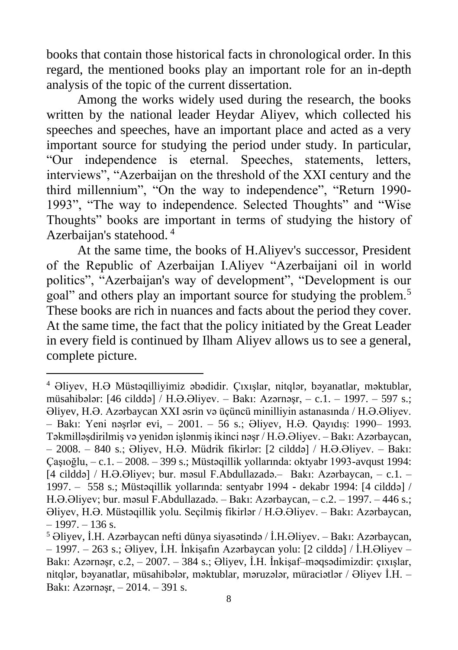books that contain those historical facts in chronological order. In this regard, the mentioned books play an important role for an in-depth analysis of the topic of the current dissertation.

Among the works widely used during the research, the books written by the national leader Heydar Aliyev, which collected his speeches and speeches, have an important place and acted as a very important source for studying the period under study. In particular, "Our independence is eternal. Speeches, statements, letters, interviews", "Azerbaijan on the threshold of the XXI century and the third millennium", "On the way to independence", "Return 1990- 1993", "The way to independence. Selected Thoughts" and "Wise Thoughts" books are important in terms of studying the history of Azerbaijan's statehood. <sup>4</sup>

At the same time, the books of H.Aliyev's successor, President of the Republic of Azerbaijan I.Aliyev "Azerbaijani oil in world politics", "Azerbaijan's way of development", "Development is our goal" and others play an important source for studying the problem.<sup>5</sup> These books are rich in nuances and facts about the period they cover. At the same time, the fact that the policy initiated by the Great Leader in every field is continued by Ilham Aliyev allows us to see a general, complete picture.

<sup>4</sup> Əliyev, H.Ə Müstəqilliyimiz əbədidir. Çıxışlar, nitqlər, bəyanatlar, məktublar, müsahibələr: [46 cilddə] / H.Ə.Əliyev. – Bakı: Azərnəşr, – c.1. – 1997. – 597 s.; Əliyev, H.Ə. Azərbaycan XXI əsrin və üçüncü minilliyin astanasında / H.Ə.Əliyev. – Bakı: Yeni nəşrlər evi, – 2001. – 56 s.; Əliyev, H.Ə. Qayıdış: 1990– 1993. Təkmilləşdirilmiş və yenidən işlənmiş ikinci nəşr / H.Ə.Əliyev. – Bakı: Azərbaycan, – 2008. – 840 s.; Əliyev, H.Ə. Müdrik fikirlər: [2 cilddə] / H.Ə.Əliyev. – Bakı: Çaşıoğlu, – c.1. – 2008. – 399 s.; Müstəqillik yollarında: oktyabr 1993-avqust 1994: [4 cilddə] / H.Ə.Əliyev; bur. məsul F.Abdullazadə.– Bakı: Azərbaycan, – c.1. – 1997. – 558 s.; Müstəqillik yollarında: sentyabr 1994 - dekabr 1994: [4 cilddə] / H.Ə.Əliyev; bur. məsul F.Abdullazadə. – Bakı: Azərbaycan, – c.2. – 1997. – 446 s.; Əliyev, H.Ə. Müstəqillik yolu. Seçilmiş fikirlər / H.Ə.Əliyev. – Bakı: Azərbaycan,  $-1997. - 136$  s.

<sup>5</sup> Əliyev, İ.H. Azərbaycan nefti dünya siyasətində / İ.H.Əliyev. – Ваkı: Azərbaycan, – 1997. – 263 s.; Əliyev, İ.H. İnkişafın Azərbaycan yolu: [2 cilddə] / İ.H.Əliyev – Bakı: Azərnəşr, c.2, – 2007. – 384 s.; Əliyev, İ.H. İnkişaf–məqsədimizdir: çıxışlar, nitqlər, bəyanatlar, müsahibələr, məktublar, məruzələr, müraciətlər / Əliyev İ.H. – Bakı: Azərnəşr, – 2014. – 391 s.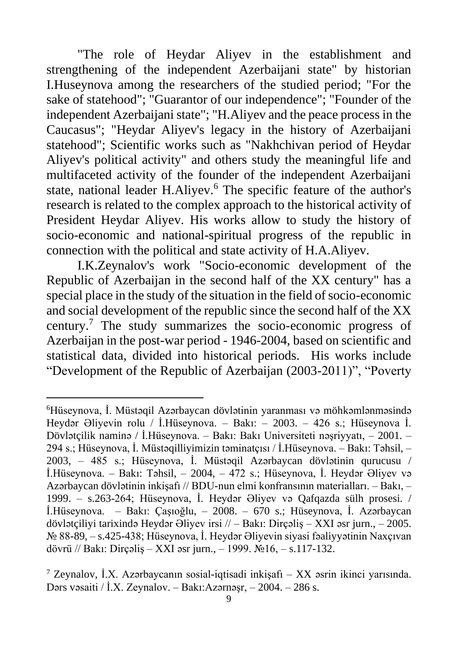"The role of Heydar Aliyev in the establishment and strengthening of the independent Azerbaijani state" by historian I.Huseynova among the researchers of the studied period; "For the sake of statehood"; "Guarantor of our independence"; "Founder of the independent Azerbaijani state"; "H.Aliyev and the peace process in the Caucasus"; "Heydar Aliyev's legacy in the history of Azerbaijani statehood"; Scientific works such as "Nakhchivan period of Heydar Aliyev's political activity" and others study the meaningful life and multifaceted activity of the founder of the independent Azerbaijani state, national leader H.Alivev.<sup>6</sup> The specific feature of the author's research is related to the complex approach to the historical activity of President Heydar Aliyev. His works allow to study the history of socio-economic and national-spiritual progress of the republic in connection with the political and state activity of H.A.Aliyev.

I.K.Zeynalov's work "Socio-economic development of the Republic of Azerbaijan in the second half of the XX century" has a special place in the study of the situation in the field of socio-economic and social development of the republic since the second half of the XX century.<sup>7</sup> The study summarizes the socio-economic progress of Azerbaijan in the post-war period - 1946-2004, based on scientific and statistical data, divided into historical periods. His works include "Development of the Republic of Azerbaijan (2003-2011)", "Poverty

<sup>6</sup>Hüseynova, İ. Müstəqil Azərbaycan dövlətinin yaranması və möhkəmlənməsində Heydər Əliyevin rolu / İ.Hüseynova. – Bakı: – 2003. – 426 s.; Hüseynova İ. Dövlətçilik naminə / İ.Hüseynova. – Bakı: Bakı Universiteti nəşriyyatı, – 2001. – 294 s.; Hüseynova, İ. Müstəqilliyimizin təminatçısı / İ.Hüseynova. – Bakı: Təhsil, – 2003, – 485 s.; Hüseynova, İ. Müstəqil Azərbaycan dövlətinin qurucusu / İ.Hüseynova. – Bakı: Təhsil, – 2004, – 472 s.; Hüseynova, İ. Heydər Əliyev və Azərbaycan dövlətinin inkişafı // BDU-nun elmi konfransının materialları. – Bakı, – 1999. – s.263-264; Hüseynova, İ. Heydər Əliyev və Qafqazda sülh prosesi. / İ.Hüseynova. – Bakı: Çaşıoğlu, – 2008. – 670 s.; Hüseynova, İ. Azərbaycan dövlətçiliyi tarixində Heydər Əliyev irsi // – Bakı: Dirçəliş – XXI əsr jurn., – 2005. № 88-89, – s.425-438; Hüseynova, İ. Heydər Əliyevin siyasi fəaliyyətinin Naxçıvan dövrü // Bakı: Dirçəliş – XXI əsr jurn., – 1999. №16, – s.117-132.

<sup>7</sup> Zeynalov, İ.X. Azərbaycanın sosial-iqtisadi inkişafı – XX əsrin ikinci yarısında. Dərs vəsaiti / İ.X. Zeynalov. – Bakı:Azərnəşr, – 2004. – 286 s.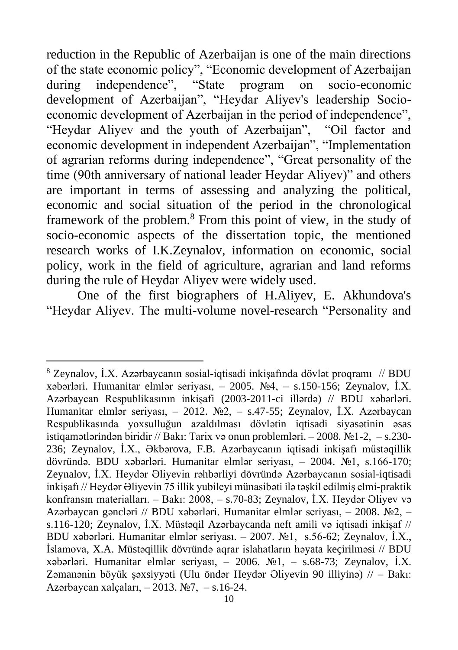reduction in the Republic of Azerbaijan is one of the main directions of the state economic policy", "Economic development of Azerbaijan during independence", "State program on socio-economic development of Azerbaijan", "Heydar Aliyev's leadership Socioeconomic development of Azerbaijan in the period of independence", "Heydar Aliyev and the youth of Azerbaijan", "Oil factor and economic development in independent Azerbaijan", "Implementation of agrarian reforms during independence", "Great personality of the time (90th anniversary of national leader Heydar Aliyev)" and others are important in terms of assessing and analyzing the political, economic and social situation of the period in the chronological framework of the problem.<sup>8</sup> From this point of view, in the study of socio-economic aspects of the dissertation topic, the mentioned research works of I.K.Zeynalov, information on economic, social policy, work in the field of agriculture, agrarian and land reforms during the rule of Heydar Aliyev were widely used.

One of the first biographers of H.Aliyev, E. Akhundova's "Heydar Aliyev. The multi-volume novel-research "Personality and

<sup>8</sup> Zeynalov, İ.X. Azərbaycanın sosial-iqtisadi inkişafında dövlət proqramı // BDU xəbərləri. Humanitar elmlər seriyası, – 2005. №4, – s.150-156; Zeynalov, İ.X. Azərbaycan Respublikasının inkişafi (2003-2011-ci illərdə) // BDU xəbərləri. Humanitar elmlər seriyası, – 2012. №2, – s.47-55; Zeynalov, İ.X. Azərbaycan Respublikasında yoxsulluğun azaldılması dövlətin iqtisadi siyasətinin əsas istiqamətlərindən biridir // Bakı: Tarix və onun problemləri. – 2008. №1-2, – s.230- 236; Zeynalov, İ.X., Əkbərova, F.B. Azərbaycanın iqtisadi inkişafı müstəqillik dövründə. BDU xəbərləri. Humanitar elmlər seriyası, – 2004. №1, s.166-170; Zeynalov, İ.X. Heydər Əliyevin rəhbərliyi dövründə Azərbaycanın sosial-iqtisadi inkişafı // Heydər Əliyevin 75 illik yubileyi münasibəti ilə təşkil edilmiş elmi-praktik konfransın materialları. – Bakı: 2008, – s.70-83; Zeynalov, İ.X. Heydər Əliyev və Azərbaycan gəncləri // BDU xəbərləri. Humanitar elmlər seriyası, – 2008. №2, – s.116-120; Zeynalov, İ.X. Müstəqil Azərbaycanda neft amili və iqtisadi inkişaf // BDU xəbərləri. Humanitar elmlər seriyası. – 2007. №1, s.56-62; Zeynalov, İ.X., İslamova, X.A. Müstəqillik dövründə aqrar islahatların həyata keçirilməsi // BDU xəbərləri. Humanitar elmlər seriyası, – 2006. №1, – s.68-73; Zeynalov, İ.X. Zəmanənin böyük şəxsiyyəti (Ulu öndər Heydər Əliyevin 90 illiyinə) // – Bakı: Azərbaycan xalçaları, – 2013. №7, – s.16-24.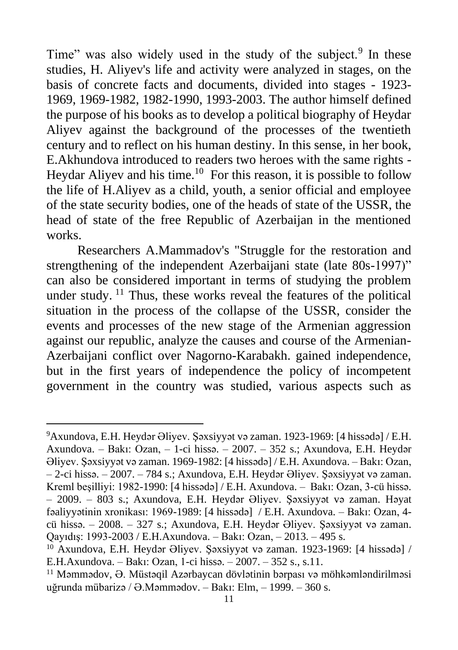Time" was also widely used in the study of the subject.<sup>9</sup> In these studies, H. Aliyev's life and activity were analyzed in stages, on the basis of concrete facts and documents, divided into stages - 1923- 1969, 1969-1982, 1982-1990, 1993-2003. The author himself defined the purpose of his books as to develop a political biography of Heydar Aliyev against the background of the processes of the twentieth century and to reflect on his human destiny. In this sense, in her book, E.Akhundova introduced to readers two heroes with the same rights - Heydar Aliyev and his time.<sup>10</sup> For this reason, it is possible to follow the life of H.Aliyev as a child, youth, a senior official and employee of the state security bodies, one of the heads of state of the USSR, the head of state of the free Republic of Azerbaijan in the mentioned works.

Researchers A.Mammadov's "Struggle for the restoration and strengthening of the independent Azerbaijani state (late 80s-1997)" can also be considered important in terms of studying the problem under study.  $\frac{11}{11}$  Thus, these works reveal the features of the political situation in the process of the collapse of the USSR, consider the events and processes of the new stage of the Armenian aggression against our republic, analyze the causes and course of the Armenian-Azerbaijani conflict over Nagorno-Karabakh. gained independence, but in the first years of independence the policy of incompetent government in the country was studied, various aspects such as

<sup>9</sup>Axundova, E.H. Heydər Əliyev. Şəxsiyyət və zaman. 1923-1969: [4 hissədə] / E.H. Axundova. – Bakı: Ozan, – 1-ci hissə. – 2007. – 352 s.; Axundova, E.H. Heydər Əliyev. Şəxsiyyət və zaman. 1969-1982: [4 hissədə] / E.H. Axundova. – Bakı: Ozan, – 2-ci hissə. – 2007. – 784 s.; Axundova, E.H. Heydər Əliyev. Şəxsiyyət və zaman. Kreml beşilliyi: 1982-1990: [4 hissədə] / E.H. Axundova. – Bakı: Ozan, 3-cü hissə. – 2009. – 803 s.; Axundova, E.H. Heydər Əliyev. Şəxsiyyət və zaman. Həyat fəaliyyətinin xronikası: 1969-1989: [4 hissədə] / E.H. Axundova. – Bakı: Ozan, 4 cü hissə. – 2008. – 327 s.; Axundova, E.H. Heydər Əliyev. Şəxsiyyət və zaman. Qayıdış: 1993-2003 / E.H.Axundova. – Bakı: Ozan, – 2013. – 495 s.

<sup>&</sup>lt;sup>10</sup> Axundova, E.H. Heydər Əliyev. Şəxsiyyət və zaman. 1923-1969: [4 hissədə] / E.H.Axundova. – Bakı: Ozan, 1-ci hissə. – 2007. – 352 s., s.11.

<sup>&</sup>lt;sup>11</sup> Məmmədov, Ə. Müstəqil Azərbaycan dövlətinin bərpası və möhkəmləndirilməsi uğrunda mübarizə / Ə.Məmmədov. – Bakı: Elm, – 1999. – 360 s.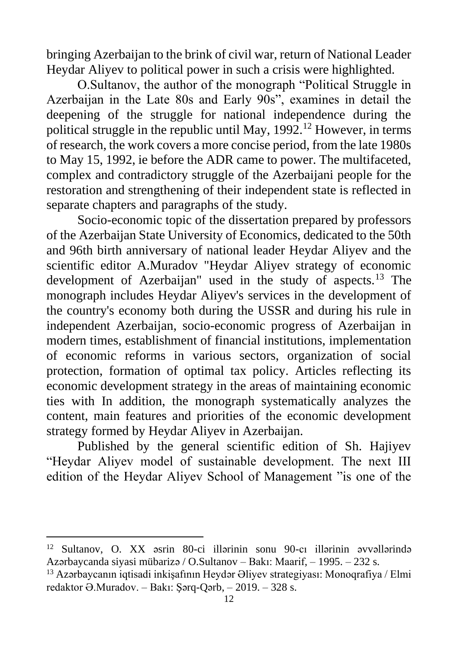bringing Azerbaijan to the brink of civil war, return of National Leader Heydar Aliyev to political power in such a crisis were highlighted.

O.Sultanov, the author of the monograph "Political Struggle in Azerbaijan in the Late 80s and Early 90s", examines in detail the deepening of the struggle for national independence during the political struggle in the republic until May,  $1992$ <sup>12</sup> However, in terms of research, the work covers a more concise period, from the late 1980s to May 15, 1992, ie before the ADR came to power. The multifaceted, complex and contradictory struggle of the Azerbaijani people for the restoration and strengthening of their independent state is reflected in separate chapters and paragraphs of the study.

Socio-economic topic of the dissertation prepared by professors of the Azerbaijan State University of Economics, dedicated to the 50th and 96th birth anniversary of national leader Heydar Aliyev and the scientific editor A.Muradov "Heydar Aliyev strategy of economic development of Azerbaijan" used in the study of aspects.<sup>13</sup> The monograph includes Heydar Aliyev's services in the development of the country's economy both during the USSR and during his rule in independent Azerbaijan, socio-economic progress of Azerbaijan in modern times, establishment of financial institutions, implementation of economic reforms in various sectors, organization of social protection, formation of optimal tax policy. Articles reflecting its economic development strategy in the areas of maintaining economic ties with In addition, the monograph systematically analyzes the content, main features and priorities of the economic development strategy formed by Heydar Aliyev in Azerbaijan.

Published by the general scientific edition of Sh. Hajiyev "Heydar Aliyev model of sustainable development. The next III edition of the Heydar Aliyev School of Management "is one of the

<sup>12</sup> Sultanov, O. XX əsrin 80-ci illərinin sonu 90-cı illərinin əvvəllərində Azərbaycanda siyasi mübarizə / O.Sultanov – Bakı: Maarif, – 1995. – 232 s.

<sup>13</sup> Azərbaycanın iqtisadi inkişafının Heydər Əliyev strategiyası: Monoqrafiya / Elmi redaktor Ə.Muradov. – Bakı: Şərq-Qərb, – 2019. – 328 s.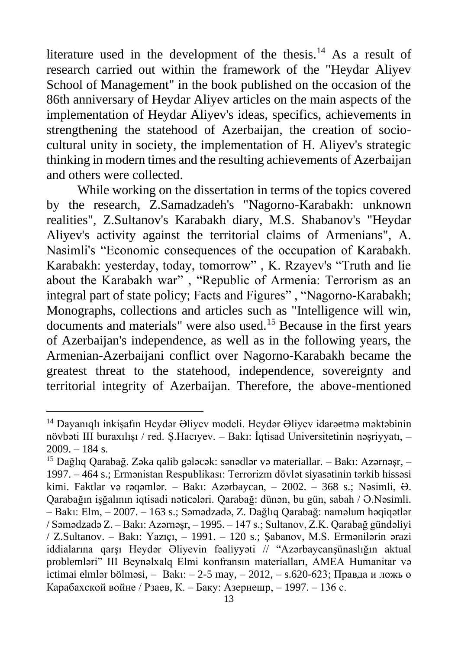literature used in the development of the thesis.<sup>14</sup> As a result of research carried out within the framework of the "Heydar Aliyev School of Management" in the book published on the occasion of the 86th anniversary of Heydar Aliyev articles on the main aspects of the implementation of Heydar Aliyev's ideas, specifics, achievements in strengthening the statehood of Azerbaijan, the creation of sociocultural unity in society, the implementation of H. Aliyev's strategic thinking in modern times and the resulting achievements of Azerbaijan and others were collected.

While working on the dissertation in terms of the topics covered by the research, Z.Samadzadeh's "Nagorno-Karabakh: unknown realities", Z.Sultanov's Karabakh diary, M.S. Shabanov's "Heydar Aliyev's activity against the territorial claims of Armenians", A. Nasimli's "Economic consequences of the occupation of Karabakh. Karabakh: yesterday, today, tomorrow" , K. Rzayev's "Truth and lie about the Karabakh war" , "Republic of Armenia: Terrorism as an integral part of state policy; Facts and Figures" , "Nagorno-Karabakh; Monographs, collections and articles such as "Intelligence will win, documents and materials" were also used.<sup>15</sup> Because in the first years of Azerbaijan's independence, as well as in the following years, the Armenian-Azerbaijani conflict over Nagorno-Karabakh became the greatest threat to the statehood, independence, sovereignty and territorial integrity of Azerbaijan. Therefore, the above-mentioned

<sup>14</sup> Dayanıqlı inkişafın Heydər Əliyev modeli. Heydər Əliyev idarəetmə məktəbinin növbəti III buraxılışı / red. Ş.Hacıyev. – Bakı: İqtisad Universitetinin nəşriyyatı, –  $2009. - 184$  s.

<sup>15</sup> Dağlıq Qarabağ. Zəka qalib gələcək: sənədlər və materiallar. – Bakı: Azərnəşr, – 1997. – 464 s.; Ermənistan Respublikası: Terrorizm dövlət siyasətinin tərkib hissəsi kimi. Faktlar və rəqəmlər. – Bakı: Azərbaycan, – 2002. – 368 s.; Nəsimli, Ə. Qarabağın işğalının iqtisadi nəticələri. Qarabağ: dünən, bu gün, sabah / Ə.Nəsimli. – Bakı: Elm, – 2007. – 163 s.; Səmədzadə, Z. Dağlıq Qarabağ: naməlum həqiqətlər / Səmədzadə Z. – Bakı: Azərnəşr, – 1995. – 147 s.; Sultanov, Z.K. Qarabağ gündəliyi / Z.Sultanov. – Bakı: Yazıçı, – 1991. – 120 s.; Şabanov, M.S. Ermənilərin ərazi iddialarına qarşı Heydər Əliyevin fəaliyyəti // "Azərbaycanşünaslığın aktual problemləri" III Beynəlxalq Elmi konfransın materialları, AMEA Humanitar və ictimai elmlər bölməsi, – Bakı: – 2-5 may, – 2012, – s.620-623; Правда и ложь о Карабахской войне / Рзаев, К. – Баку: Азернешр, – 1997. – 136 с.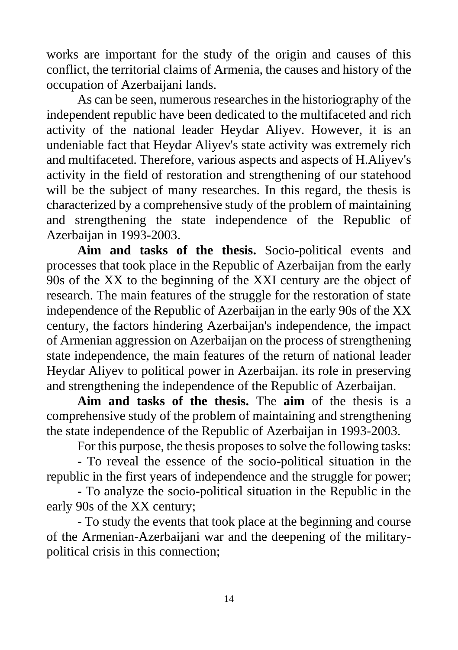works are important for the study of the origin and causes of this conflict, the territorial claims of Armenia, the causes and history of the occupation of Azerbaijani lands.

As can be seen, numerous researches in the historiography of the independent republic have been dedicated to the multifaceted and rich activity of the national leader Heydar Aliyev. However, it is an undeniable fact that Heydar Aliyev's state activity was extremely rich and multifaceted. Therefore, various aspects and aspects of H.Aliyev's activity in the field of restoration and strengthening of our statehood will be the subject of many researches. In this regard, the thesis is characterized by a comprehensive study of the problem of maintaining and strengthening the state independence of the Republic of Azerbaijan in 1993-2003.

**Aim and tasks of the thesis.** Socio-political events and processes that took place in the Republic of Azerbaijan from the early 90s of the XX to the beginning of the XXI century are the object of research. The main features of the struggle for the restoration of state independence of the Republic of Azerbaijan in the early 90s of the XX century, the factors hindering Azerbaijan's independence, the impact of Armenian aggression on Azerbaijan on the process of strengthening state independence, the main features of the return of national leader Heydar Aliyev to political power in Azerbaijan. its role in preserving and strengthening the independence of the Republic of Azerbaijan.

**Aim and tasks of the thesis.** The **aim** of the thesis is a comprehensive study of the problem of maintaining and strengthening the state independence of the Republic of Azerbaijan in 1993-2003.

For this purpose, the thesis proposes to solve the following tasks:

- To reveal the essence of the socio-political situation in the republic in the first years of independence and the struggle for power;

- To analyze the socio-political situation in the Republic in the early 90s of the XX century;

- To study the events that took place at the beginning and course of the Armenian-Azerbaijani war and the deepening of the militarypolitical crisis in this connection;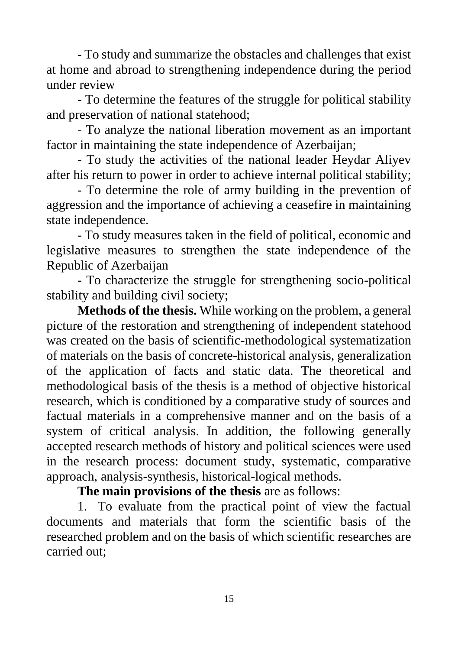- To study and summarize the obstacles and challenges that exist at home and abroad to strengthening independence during the period under review

- To determine the features of the struggle for political stability and preservation of national statehood;

- To analyze the national liberation movement as an important factor in maintaining the state independence of Azerbaijan;

- To study the activities of the national leader Heydar Aliyev after his return to power in order to achieve internal political stability;

- To determine the role of army building in the prevention of aggression and the importance of achieving a ceasefire in maintaining state independence.

- To study measures taken in the field of political, economic and legislative measures to strengthen the state independence of the Republic of Azerbaijan

- To characterize the struggle for strengthening socio-political stability and building civil society;

**Methods of the thesis.** While working on the problem, a general picture of the restoration and strengthening of independent statehood was created on the basis of scientific-methodological systematization of materials on the basis of concrete-historical analysis, generalization of the application of facts and static data. The theoretical and methodological basis of the thesis is a method of objective historical research, which is conditioned by a comparative study of sources and factual materials in a comprehensive manner and on the basis of a system of critical analysis. In addition, the following generally accepted research methods of history and political sciences were used in the research process: document study, systematic, comparative approach, analysis-synthesis, historical-logical methods.

**The main provisions of the thesis** are as follows:

1. To evaluate from the practical point of view the factual documents and materials that form the scientific basis of the researched problem and on the basis of which scientific researches are carried out;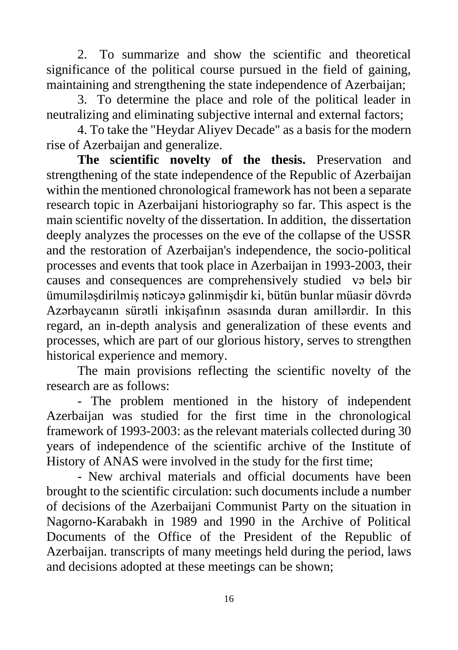2. To summarize and show the scientific and theoretical significance of the political course pursued in the field of gaining, maintaining and strengthening the state independence of Azerbaijan;

3. To determine the place and role of the political leader in neutralizing and eliminating subjective internal and external factors;

4. To take the "Heydar Aliyev Decade" as a basis for the modern rise of Azerbaijan and generalize.

**The scientific novelty of the thesis.** Preservation and strengthening of the state independence of the Republic of Azerbaijan within the mentioned chronological framework has not been a separate research topic in Azerbaijani historiography so far. This aspect is the main scientific novelty of the dissertation. In addition, the dissertation deeply analyzes the processes on the eve of the collapse of the USSR and the restoration of Azerbaijan's independence, the socio-political processes and events that took place in Azerbaijan in 1993-2003, their causes and consequences are comprehensively studied və belə bir ümumiləşdirilmiş nəticəyə gəlinmişdir ki, bütün bunlar müasir dövrdə Azərbaycanın sürətli inkişafının əsasında duran amillərdir. In this regard, an in-depth analysis and generalization of these events and processes, which are part of our glorious history, serves to strengthen historical experience and memory.

The main provisions reflecting the scientific novelty of the research are as follows:

- The problem mentioned in the history of independent Azerbaijan was studied for the first time in the chronological framework of 1993-2003: as the relevant materials collected during 30 years of independence of the scientific archive of the Institute of History of ANAS were involved in the study for the first time;

- New archival materials and official documents have been brought to the scientific circulation: such documents include a number of decisions of the Azerbaijani Communist Party on the situation in Nagorno-Karabakh in 1989 and 1990 in the Archive of Political Documents of the Office of the President of the Republic of Azerbaijan. transcripts of many meetings held during the period, laws and decisions adopted at these meetings can be shown;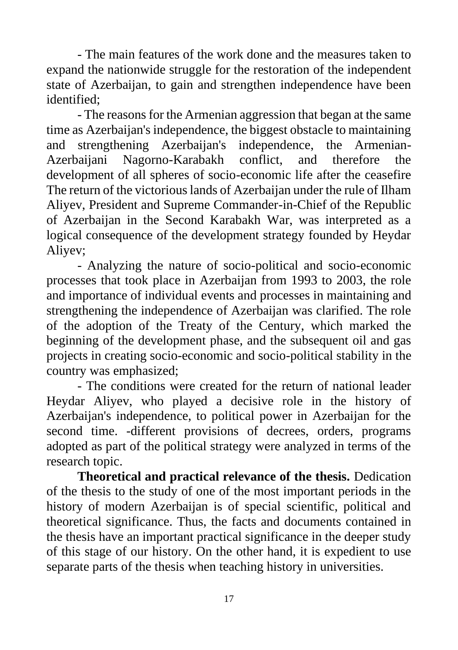- The main features of the work done and the measures taken to expand the nationwide struggle for the restoration of the independent state of Azerbaijan, to gain and strengthen independence have been identified;

- The reasons for the Armenian aggression that began at the same time as Azerbaijan's independence, the biggest obstacle to maintaining and strengthening Azerbaijan's independence, the Armenian-Azerbaijani Nagorno-Karabakh conflict, and therefore the development of all spheres of socio-economic life after the ceasefire The return of the victorious lands of Azerbaijan under the rule of Ilham Aliyev, President and Supreme Commander-in-Chief of the Republic of Azerbaijan in the Second Karabakh War, was interpreted as a logical consequence of the development strategy founded by Heydar Aliyev;

- Analyzing the nature of socio-political and socio-economic processes that took place in Azerbaijan from 1993 to 2003, the role and importance of individual events and processes in maintaining and strengthening the independence of Azerbaijan was clarified. The role of the adoption of the Treaty of the Century, which marked the beginning of the development phase, and the subsequent oil and gas projects in creating socio-economic and socio-political stability in the country was emphasized;

- The conditions were created for the return of national leader Heydar Aliyev, who played a decisive role in the history of Azerbaijan's independence, to political power in Azerbaijan for the second time. -different provisions of decrees, orders, programs adopted as part of the political strategy were analyzed in terms of the research topic.

**Theoretical and practical relevance of the thesis.** Dedication of the thesis to the study of one of the most important periods in the history of modern Azerbaijan is of special scientific, political and theoretical significance. Thus, the facts and documents contained in the thesis have an important practical significance in the deeper study of this stage of our history. On the other hand, it is expedient to use separate parts of the thesis when teaching history in universities.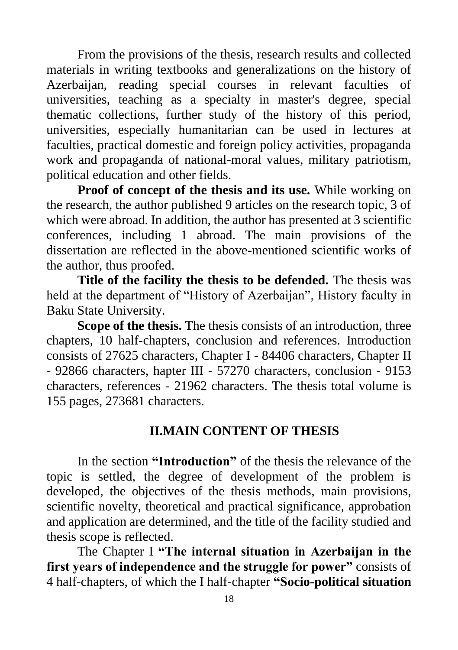From the provisions of the thesis, research results and collected materials in writing textbooks and generalizations on the history of Azerbaijan, reading special courses in relevant faculties of universities, teaching as a specialty in master's degree, special thematic collections, further study of the history of this period, universities, especially humanitarian can be used in lectures at faculties, practical domestic and foreign policy activities, propaganda work and propaganda of national-moral values, military patriotism, political education and other fields.

**Proof of concept of the thesis and its use.** While working on the research, the author published 9 articles on the research topic, 3 of which were abroad. In addition, the author has presented at 3 scientific conferences, including 1 abroad. The main provisions of the dissertation are reflected in the above-mentioned scientific works of the author, thus proofed.

**Title of the facility the thesis to be defended.** The thesis was held at the department of "History of Azerbaijan", History faculty in Baku State University.

**Scope of the thesis.** The thesis consists of an introduction, three chapters, 10 half-chapters, conclusion and references. Introduction consists of 27625 characters, Chapter I - 84406 characters, Chapter II - 92866 characters, hapter III - 57270 characters, conclusion - 9153 characters, references - 21962 characters. The thesis total volume is 155 pages, 273681 characters.

## **II.MAIN CONTENT OF THESIS**

In the section **"Introduction"** of the thesis the relevance of the topic is settled, the degree of development of the problem is developed, the objectives of the thesis methods, main provisions, scientific novelty, theoretical and practical significance, approbation and application are determined, and the title of the facility studied and thesis scope is reflected.

The Chapter I **"The internal situation in Azerbaijan in the first years of independence and the struggle for power"** consists of 4 half-chapters, of which the I half-chapter **"Socio-political situation**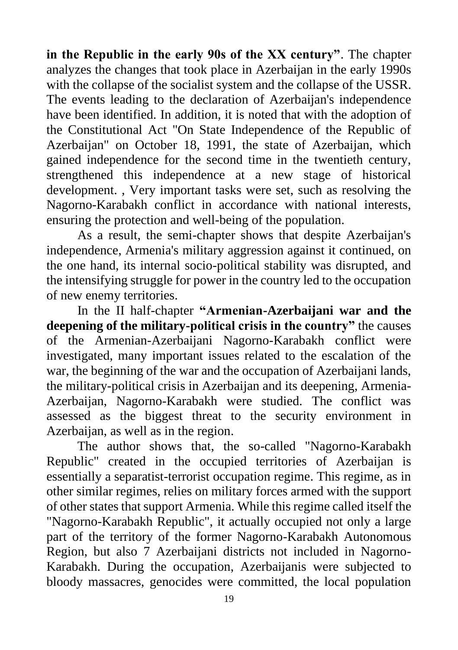**in the Republic in the early 90s of the XX century"**. The chapter analyzes the changes that took place in Azerbaijan in the early 1990s with the collapse of the socialist system and the collapse of the USSR. The events leading to the declaration of Azerbaijan's independence have been identified. In addition, it is noted that with the adoption of the Constitutional Act "On State Independence of the Republic of Azerbaijan" on October 18, 1991, the state of Azerbaijan, which gained independence for the second time in the twentieth century, strengthened this independence at a new stage of historical development. , Very important tasks were set, such as resolving the Nagorno-Karabakh conflict in accordance with national interests, ensuring the protection and well-being of the population.

As a result, the semi-chapter shows that despite Azerbaijan's independence, Armenia's military aggression against it continued, on the one hand, its internal socio-political stability was disrupted, and the intensifying struggle for power in the country led to the occupation of new enemy territories.

In the II half-chapter **"Armenian-Azerbaijani war and the deepening of the military-political crisis in the country"** the causes of the Armenian-Azerbaijani Nagorno-Karabakh conflict were investigated, many important issues related to the escalation of the war, the beginning of the war and the occupation of Azerbaijani lands, the military-political crisis in Azerbaijan and its deepening, Armenia-Azerbaijan, Nagorno-Karabakh were studied. The conflict was assessed as the biggest threat to the security environment in Azerbaijan, as well as in the region.

The author shows that, the so-called "Nagorno-Karabakh Republic" created in the occupied territories of Azerbaijan is essentially a separatist-terrorist occupation regime. This regime, as in other similar regimes, relies on military forces armed with the support of other states that support Armenia. While this regime called itself the "Nagorno-Karabakh Republic", it actually occupied not only a large part of the territory of the former Nagorno-Karabakh Autonomous Region, but also 7 Azerbaijani districts not included in Nagorno-Karabakh. During the occupation, Azerbaijanis were subjected to bloody massacres, genocides were committed, the local population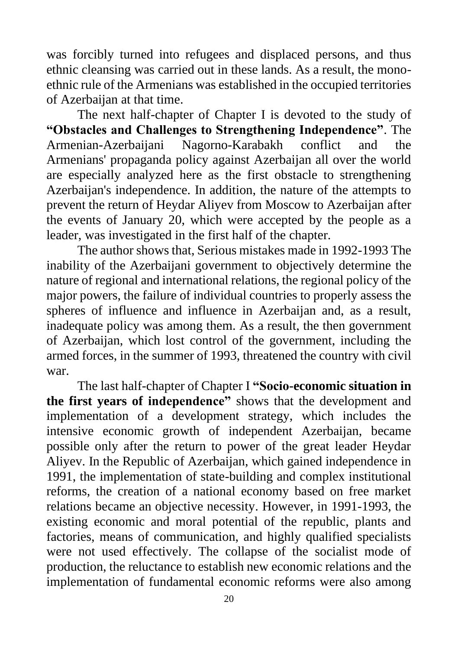was forcibly turned into refugees and displaced persons, and thus ethnic cleansing was carried out in these lands. As a result, the monoethnic rule of the Armenians was established in the occupied territories of Azerbaijan at that time.

The next half-chapter of Chapter I is devoted to the study of **"Obstacles and Challenges to Strengthening Independence"**. The Armenian-Azerbaijani Nagorno-Karabakh conflict and the Armenians' propaganda policy against Azerbaijan all over the world are especially analyzed here as the first obstacle to strengthening Azerbaijan's independence. In addition, the nature of the attempts to prevent the return of Heydar Aliyev from Moscow to Azerbaijan after the events of January 20, which were accepted by the people as a leader, was investigated in the first half of the chapter.

The author shows that, Serious mistakes made in 1992-1993 The inability of the Azerbaijani government to objectively determine the nature of regional and international relations, the regional policy of the major powers, the failure of individual countries to properly assess the spheres of influence and influence in Azerbaijan and, as a result, inadequate policy was among them. As a result, the then government of Azerbaijan, which lost control of the government, including the armed forces, in the summer of 1993, threatened the country with civil war.

The last half-chapter of Chapter I **"Socio-economic situation in the first years of independence"** shows that the development and implementation of a development strategy, which includes the intensive economic growth of independent Azerbaijan, became possible only after the return to power of the great leader Heydar Aliyev. In the Republic of Azerbaijan, which gained independence in 1991, the implementation of state-building and complex institutional reforms, the creation of a national economy based on free market relations became an objective necessity. However, in 1991-1993, the existing economic and moral potential of the republic, plants and factories, means of communication, and highly qualified specialists were not used effectively. The collapse of the socialist mode of production, the reluctance to establish new economic relations and the implementation of fundamental economic reforms were also among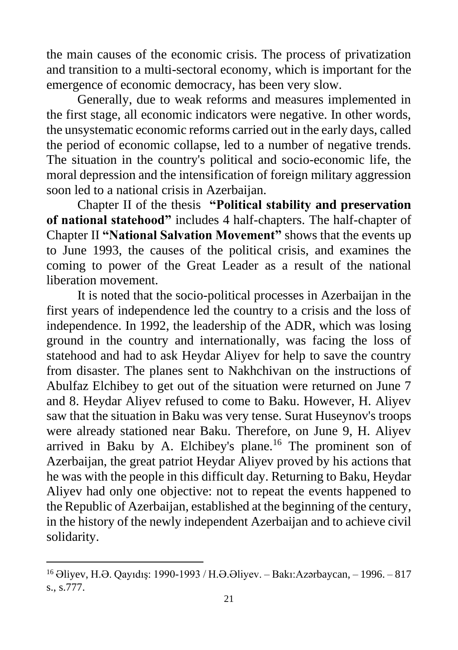the main causes of the economic crisis. The process of privatization and transition to a multi-sectoral economy, which is important for the emergence of economic democracy, has been very slow.

Generally, due to weak reforms and measures implemented in the first stage, all economic indicators were negative. In other words, the unsystematic economic reforms carried out in the early days, called the period of economic collapse, led to a number of negative trends. The situation in the country's political and socio-economic life, the moral depression and the intensification of foreign military aggression soon led to a national crisis in Azerbaijan.

Chapter II of the thesis **"Political stability and preservation of national statehood"** includes 4 half-chapters. The half-chapter of Chapter II **"National Salvation Movement"** shows that the events up to June 1993, the causes of the political crisis, and examines the coming to power of the Great Leader as a result of the national liberation movement.

It is noted that the socio-political processes in Azerbaijan in the first years of independence led the country to a crisis and the loss of independence. In 1992, the leadership of the ADR, which was losing ground in the country and internationally, was facing the loss of statehood and had to ask Heydar Aliyev for help to save the country from disaster. The planes sent to Nakhchivan on the instructions of Abulfaz Elchibey to get out of the situation were returned on June 7 and 8. Heydar Aliyev refused to come to Baku. However, H. Aliyev saw that the situation in Baku was very tense. Surat Huseynov's troops were already stationed near Baku. Therefore, on June 9, H. Aliyev arrived in Baku by A. Elchibey's plane.<sup>16</sup> The prominent son of Azerbaijan, the great patriot Heydar Aliyev proved by his actions that he was with the people in this difficult day. Returning to Baku, Heydar Aliyev had only one objective: not to repeat the events happened to the Republic of Azerbaijan, established at the beginning of the century, in the history of the newly independent Azerbaijan and to achieve civil solidarity.

<sup>16</sup> Əliyev, H.Ə. Qayıdış: 1990-1993 / H.Ə.Əliyev. – Bakı:Azərbaycan, – 1996. – 817 s., s.777.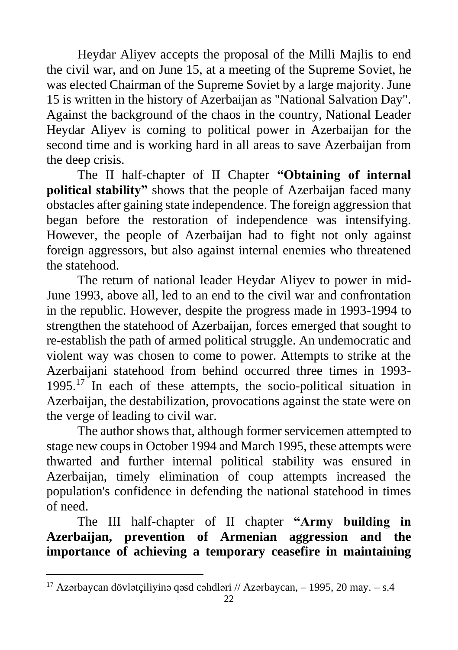Heydar Aliyev accepts the proposal of the Milli Majlis to end the civil war, and on June 15, at a meeting of the Supreme Soviet, he was elected Chairman of the Supreme Soviet by a large majority. June 15 is written in the history of Azerbaijan as "National Salvation Day". Against the background of the chaos in the country, National Leader Heydar Aliyev is coming to political power in Azerbaijan for the second time and is working hard in all areas to save Azerbaijan from the deep crisis.

The II half-chapter of II Chapter **"Obtaining of internal political stability**" shows that the people of Azerbaijan faced many obstacles after gaining state independence. The foreign aggression that began before the restoration of independence was intensifying. However, the people of Azerbaijan had to fight not only against foreign aggressors, but also against internal enemies who threatened the statehood.

The return of national leader Heydar Aliyev to power in mid-June 1993, above all, led to an end to the civil war and confrontation in the republic. However, despite the progress made in 1993-1994 to strengthen the statehood of Azerbaijan, forces emerged that sought to re-establish the path of armed political struggle. An undemocratic and violent way was chosen to come to power. Attempts to strike at the Azerbaijani statehood from behind occurred three times in 1993- 1995.<sup>17</sup> In each of these attempts, the socio-political situation in Azerbaiian, the destabilization, provocations against the state were on the verge of leading to civil war.

The author shows that, although former servicemen attempted to stage new coups in October 1994 and March 1995, these attempts were thwarted and further internal political stability was ensured in Azerbaijan, timely elimination of coup attempts increased the population's confidence in defending the national statehood in times of need.

The III half-chapter of II chapter **"Army building in Azerbaijan, prevention of Armenian aggression and the importance of achieving a temporary ceasefire in maintaining** 

<sup>&</sup>lt;sup>17</sup> Azərbaycan dövlətçiliyinə qəsd cəhdləri // Azərbaycan,  $-$  1995, 20 may.  $-$  s.4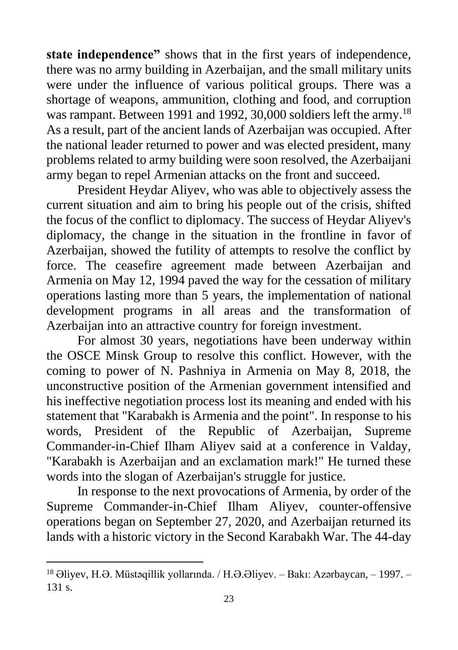**state independence"** shows that in the first years of independence, there was no army building in Azerbaijan, and the small military units were under the influence of various political groups. There was a shortage of weapons, ammunition, clothing and food, and corruption was rampant. Between 1991 and 1992, 30,000 soldiers left the army.<sup>18</sup> As a result, part of the ancient lands of Azerbaijan was occupied. After the national leader returned to power and was elected president, many problems related to army building were soon resolved, the Azerbaijani army began to repel Armenian attacks on the front and succeed.

President Heydar Aliyev, who was able to objectively assess the current situation and aim to bring his people out of the crisis, shifted the focus of the conflict to diplomacy. The success of Heydar Aliyev's diplomacy, the change in the situation in the frontline in favor of Azerbaijan, showed the futility of attempts to resolve the conflict by force. The ceasefire agreement made between Azerbaijan and Armenia on May 12, 1994 paved the way for the cessation of military operations lasting more than 5 years, the implementation of national development programs in all areas and the transformation of Azerbaijan into an attractive country for foreign investment.

For almost 30 years, negotiations have been underway within the OSCE Minsk Group to resolve this conflict. However, with the coming to power of N. Pashniya in Armenia on May 8, 2018, the unconstructive position of the Armenian government intensified and his ineffective negotiation process lost its meaning and ended with his statement that "Karabakh is Armenia and the point". In response to his words, President of the Republic of Azerbaijan, Supreme Commander-in-Chief Ilham Aliyev said at a conference in Valday, "Karabakh is Azerbaijan and an exclamation mark!" He turned these words into the slogan of Azerbaijan's struggle for justice.

In response to the next provocations of Armenia, by order of the Supreme Commander-in-Chief Ilham Aliyev, counter-offensive operations began on September 27, 2020, and Azerbaijan returned its lands with a historic victory in the Second Karabakh War. The 44-day

<sup>18</sup> Əliyev, H.Ə. Müstəqillik yollarında. / H.Ə.Əliyev. – Bakı: Azərbaycan, – 1997. – 131 s.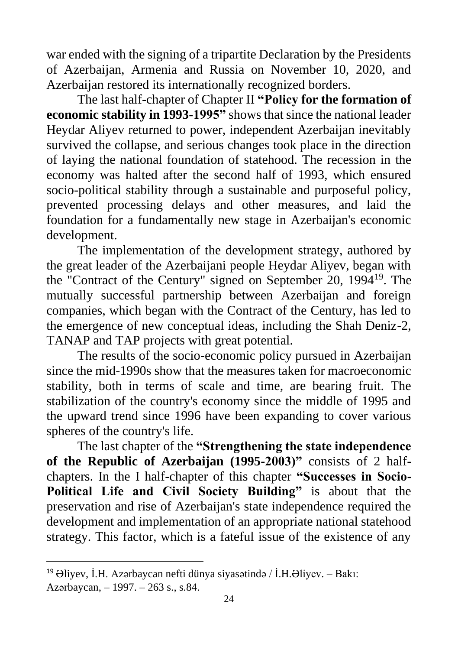war ended with the signing of a tripartite Declaration by the Presidents of Azerbaijan, Armenia and Russia on November 10, 2020, and Azerbaijan restored its internationally recognized borders.

The last half-chapter of Chapter II **"Policy for the formation of economic stability in 1993-1995"** shows that since the national leader Heydar Aliyev returned to power, independent Azerbaijan inevitably survived the collapse, and serious changes took place in the direction of laying the national foundation of statehood. The recession in the economy was halted after the second half of 1993, which ensured socio-political stability through a sustainable and purposeful policy, prevented processing delays and other measures, and laid the foundation for a fundamentally new stage in Azerbaijan's economic development.

The implementation of the development strategy, authored by the great leader of the Azerbaijani people Heydar Aliyev, began with the "Contract of the Century" signed on September 20, 1994<sup>19</sup>. The mutually successful partnership between Azerbaijan and foreign companies, which began with the Contract of the Century, has led to the emergence of new conceptual ideas, including the Shah Deniz-2, TANAP and TAP projects with great potential.

The results of the socio-economic policy pursued in Azerbaijan since the mid-1990s show that the measures taken for macroeconomic stability, both in terms of scale and time, are bearing fruit. The stabilization of the country's economy since the middle of 1995 and the upward trend since 1996 have been expanding to cover various spheres of the country's life.

The last chapter of the **"Strengthening the state independence of the Republic of Azerbaijan (1995-2003)"** consists of 2 halfchapters. In the I half-chapter of this chapter **"Successes in Socio-Political Life and Civil Society Building"** is about that the preservation and rise of Azerbaijan's state independence required the development and implementation of an appropriate national statehood strategy. This factor, which is a fateful issue of the existence of any

<sup>19</sup> Əliyev, İ.H. Azərbaycan nefti dünya siyasətində / İ.H.Əliyev. – Ваkı: Azərbaycan, – 1997. – 263 s., s.84.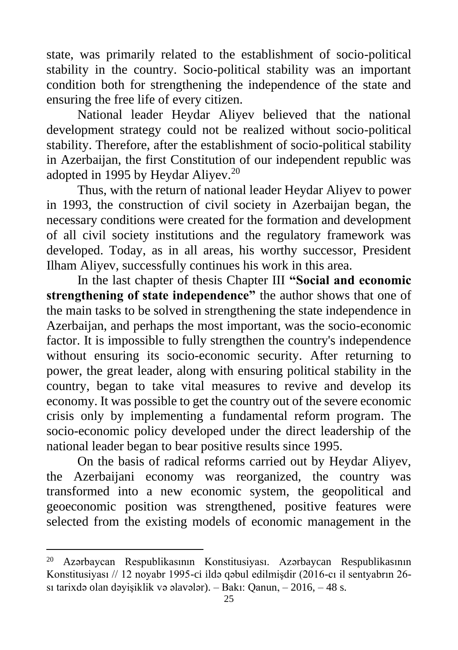state, was primarily related to the establishment of socio-political stability in the country. Socio-political stability was an important condition both for strengthening the independence of the state and ensuring the free life of every citizen.

National leader Heydar Aliyev believed that the national development strategy could not be realized without socio-political stability. Therefore, after the establishment of socio-political stability in Azerbaijan, the first Constitution of our independent republic was adopted in 1995 by Heydar Aliyev.<sup>20</sup>

Thus, with the return of national leader Heydar Aliyev to power in 1993, the construction of civil society in Azerbaijan began, the necessary conditions were created for the formation and development of all civil society institutions and the regulatory framework was developed. Today, as in all areas, his worthy successor, President Ilham Aliyev, successfully continues his work in this area.

In the last chapter of thesis Chapter III **"Social and economic strengthening of state independence"** the author shows that one of the main tasks to be solved in strengthening the state independence in Azerbaijan, and perhaps the most important, was the socio-economic factor. It is impossible to fully strengthen the country's independence without ensuring its socio-economic security. After returning to power, the great leader, along with ensuring political stability in the country, began to take vital measures to revive and develop its economy. It was possible to get the country out of the severe economic crisis only by implementing a fundamental reform program. The socio-economic policy developed under the direct leadership of the national leader began to bear positive results since 1995.

On the basis of radical reforms carried out by Heydar Aliyev, the Azerbaijani economy was reorganized, the country was transformed into a new economic system, the geopolitical and geoeconomic position was strengthened, positive features were selected from the existing models of economic management in the

<sup>20</sup> Azərbaycan Respublikasının Konstitusiyası. Azərbaycan Respublikasının Konstitusiyası // 12 noyabr 1995-ci ildə qəbul edilmişdir (2016-cı il sentyabrın 26 sı tarixdə olan dəyişiklik və əlavələr). – Bakı: Qanun, – 2016, – 48 s.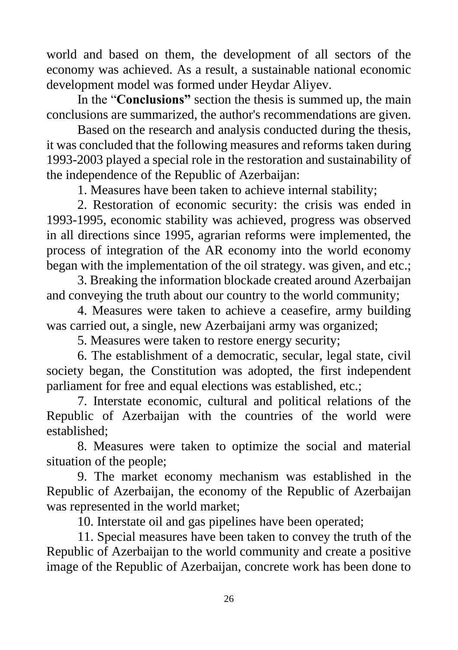world and based on them, the development of all sectors of the economy was achieved. As a result, a sustainable national economic development model was formed under Heydar Aliyev.

In the "**Conclusions"** section the thesis is summed up, the main conclusions are summarized, the author's recommendations are given.

Based on the research and analysis conducted during the thesis, it was concluded that the following measures and reforms taken during 1993-2003 played a special role in the restoration and sustainability of the independence of the Republic of Azerbaijan:

1. Measures have been taken to achieve internal stability;

2. Restoration of economic security: the crisis was ended in 1993-1995, economic stability was achieved, progress was observed in all directions since 1995, agrarian reforms were implemented, the process of integration of the AR economy into the world economy began with the implementation of the oil strategy. was given, and etc.;

3. Breaking the information blockade created around Azerbaijan and conveying the truth about our country to the world community;

4. Measures were taken to achieve a ceasefire, army building was carried out, a single, new Azerbaijani army was organized;

5. Measures were taken to restore energy security;

6. The establishment of a democratic, secular, legal state, civil society began, the Constitution was adopted, the first independent parliament for free and equal elections was established, etc.;

7. Interstate economic, cultural and political relations of the Republic of Azerbaijan with the countries of the world were established;

8. Measures were taken to optimize the social and material situation of the people;

9. The market economy mechanism was established in the Republic of Azerbaijan, the economy of the Republic of Azerbaijan was represented in the world market;

10. Interstate oil and gas pipelines have been operated;

11. Special measures have been taken to convey the truth of the Republic of Azerbaijan to the world community and create a positive image of the Republic of Azerbaijan, concrete work has been done to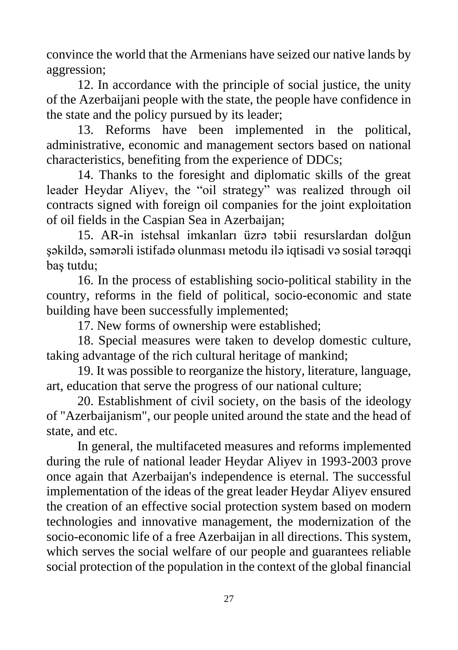convince the world that the Armenians have seized our native lands by aggression;

12. In accordance with the principle of social justice, the unity of the Azerbaijani people with the state, the people have confidence in the state and the policy pursued by its leader;

13. Reforms have been implemented in the political, administrative, economic and management sectors based on national characteristics, benefiting from the experience of DDCs;

14. Thanks to the foresight and diplomatic skills of the great leader Heydar Aliyev, the "oil strategy" was realized through oil contracts signed with foreign oil companies for the joint exploitation of oil fields in the Caspian Sea in Azerbaijan;

15. AR-in istehsal imkanları üzrə təbii resurslardan dolğun şəkildə, səmərəli istifadə olunması metodu ilə iqtisadi və sosial tərəqqi baş tutdu;

16. In the process of establishing socio-political stability in the country, reforms in the field of political, socio-economic and state building have been successfully implemented;

17. New forms of ownership were established;

18. Special measures were taken to develop domestic culture, taking advantage of the rich cultural heritage of mankind;

19. It was possible to reorganize the history, literature, language, art, education that serve the progress of our national culture;

20. Establishment of civil society, on the basis of the ideology of "Azerbaijanism", our people united around the state and the head of state, and etc.

In general, the multifaceted measures and reforms implemented during the rule of national leader Heydar Aliyev in 1993-2003 prove once again that Azerbaijan's independence is eternal. The successful implementation of the ideas of the great leader Heydar Aliyev ensured the creation of an effective social protection system based on modern technologies and innovative management, the modernization of the socio-economic life of a free Azerbaijan in all directions. This system, which serves the social welfare of our people and guarantees reliable social protection of the population in the context of the global financial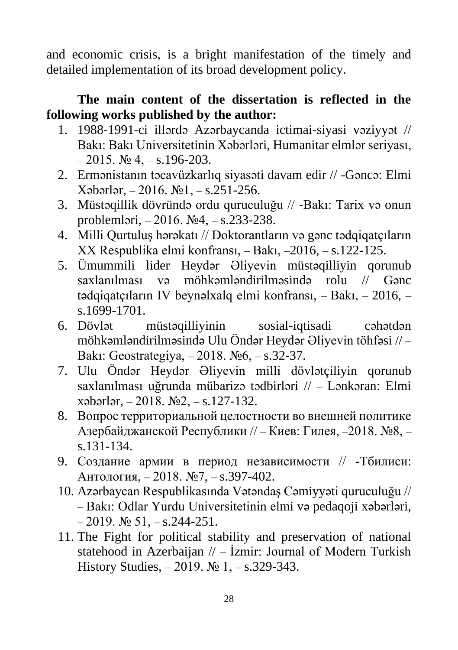and economic crisis, is a bright manifestation of the timely and detailed implementation of its broad development policy.

### **The main content of the dissertation is reflected in the following works published by the author:**

- 1. 1988-1991-ci illərdə Azərbaycanda ictimai-siyasi vəziyyət // Bakı: Bakı Universitetinin Xəbərləri, Humanitar elmlər seriyası,  $-2015.$   $\text{Ne } 4, -\text{s}$ , 196-203.
- 2. Ermənistanın təcavüzkarlıq siyasəti davam edir // -Gəncə: Elmi Xəbərlər, – 2016. №1, – s.251-256.
- 3. Müstəqillik dövründə ordu quruculuğu // -Bakı: Tarix və onun problemləri, – 2016. №4, – s.233-238.
- 4. Milli Qurtuluş hərəkatı // Doktorantların və gənc tədqiqatçıların XX Respublika elmi konfransı, – Bakı, –2016, – s.122-125.
- 5. Ümummili lider Heydər Əliyevin müstəqilliyin qorunub saxlanılması və möhkəmləndirilməsində rolu // Gənc tədqiqatçıların IV beynəlxalq elmi konfransı, – Bakı, – 2016, – s.1699-1701.
- 6. Dövlət müstəqilliyinin sosial-iqtisadi cəhətdən möhkəmləndirilməsində Ulu Öndər Heydər Əliyevin töhfəsi // – Bakı: Geostrategiya, – 2018. №6, – s.32-37.
- 7. Ulu Öndər Heydər Əliyevin milli dövlətçiliyin qorunub saxlanılması uğrunda mübarizə tədbirləri // – Lənkəran: Elmi xəbərlər, – 2018. №2, – s.127-132.
- 8. Вопрос территориальной целостности во внешней политике Азербайджанской Республики // – Киев: Гилея, –2018. №8, – s.131-134.
- 9. Создание армии в период независимости // -Тбилиси: Антология, – 2018. №7, – s.397-402.
- 10. Azərbaycan Respublikasında Vətəndaş Cəmiyyəti quruculuğu // – Bakı: Odlar Yurdu Universitetinin elmi və pedaqoji xəbərləri,  $-2019.$  № 51,  $-$  s.244-251.
- 11. The Fight for political stability and preservation of national statehood in Azerbaijan // – İzmir: Journal of Modern Turkish History Studies, – 2019. № 1, – s.329-343.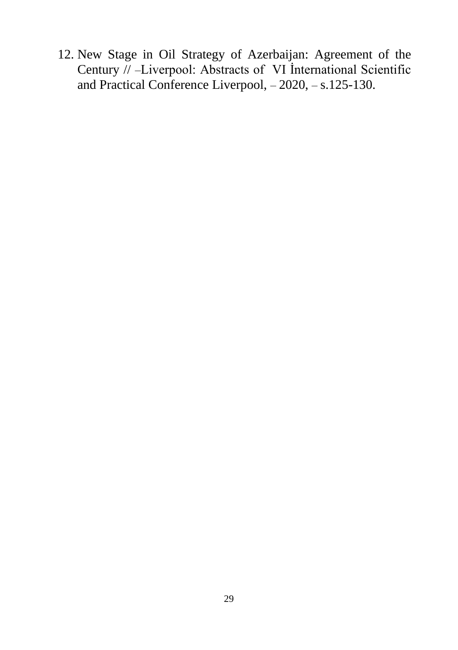12. New Stage in Oil Strategy of Azerbaijan: Agreement of the Century // –Liverpool: Abstracts of VI İnternational Scientific and Practical Conference Liverpool, – 2020, – s.125-130.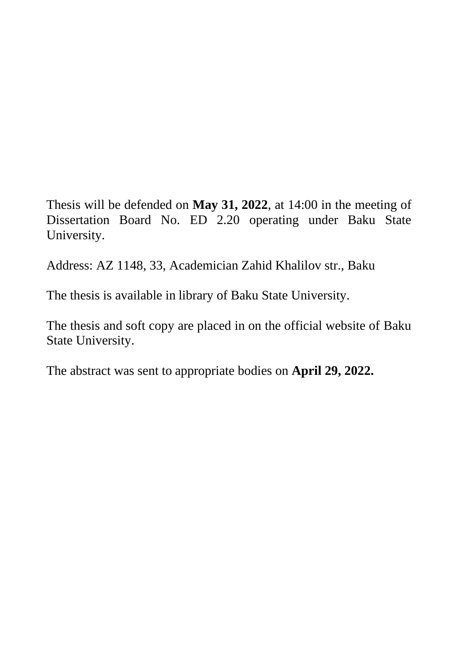Thesis will be defended on **May 31, 2022**, at 14:00 in the meeting of Dissertation Board No. ED 2.20 operating under Baku State University.

Address: AZ 1148, 33, Academician Zahid Khalilov str., Baku

The thesis is available in library of Baku State University.

The thesis and soft copy are placed in on the official website of Baku State University.

The abstract was sent to appropriate bodies on **April 29, 2022.**